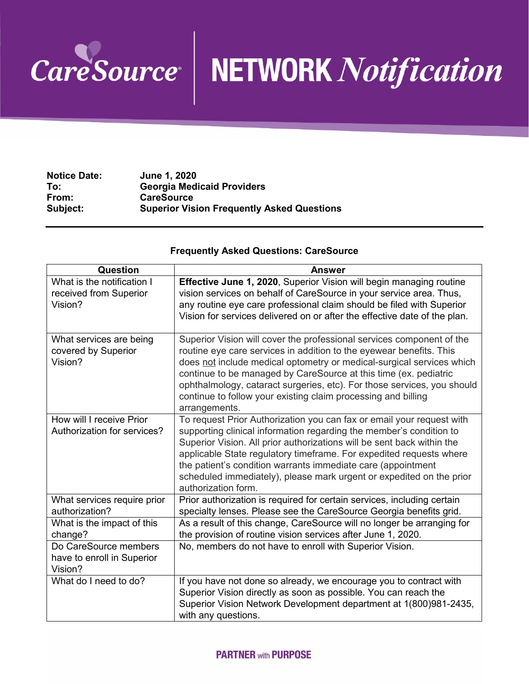

## CareSource NETWORK Notification

| <b>Notice Date:</b> | June 1, 2020                                      |
|---------------------|---------------------------------------------------|
| To:                 | <b>Georgia Medicaid Providers</b>                 |
| From:               | <b>CareSource</b>                                 |
| Subject:            | <b>Superior Vision Frequently Asked Questions</b> |

## **Frequently Asked Questions: CareSource**

| Question                                                        | <b>Answer</b>                                                                                                                                                                                                                                                                                                                                                                                                                                                |
|-----------------------------------------------------------------|--------------------------------------------------------------------------------------------------------------------------------------------------------------------------------------------------------------------------------------------------------------------------------------------------------------------------------------------------------------------------------------------------------------------------------------------------------------|
| What is the notification I<br>received from Superior<br>Vision? | Effective June 1, 2020, Superior Vision will begin managing routine<br>vision services on behalf of CareSource in your service area. Thus,<br>any routine eye care professional claim should be filed with Superior<br>Vision for services delivered on or after the effective date of the plan.                                                                                                                                                             |
| What services are being<br>covered by Superior<br>Vision?       | Superior Vision will cover the professional services component of the<br>routine eye care services in addition to the eyewear benefits. This<br>does not include medical optometry or medical-surgical services which<br>continue to be managed by CareSource at this time (ex. pediatric<br>ophthalmology, cataract surgeries, etc). For those services, you should<br>continue to follow your existing claim processing and billing<br>arrangements.       |
| How will I receive Prior<br>Authorization for services?         | To request Prior Authorization you can fax or email your request with<br>supporting clinical information regarding the member's condition to<br>Superior Vision. All prior authorizations will be sent back within the<br>applicable State regulatory timeframe. For expedited requests where<br>the patient's condition warrants immediate care (appointment<br>scheduled immediately), please mark urgent or expedited on the prior<br>authorization form. |
| What services require prior<br>authorization?                   | Prior authorization is required for certain services, including certain<br>specialty lenses. Please see the CareSource Georgia benefits grid.                                                                                                                                                                                                                                                                                                                |
| What is the impact of this<br>change?                           | As a result of this change, CareSource will no longer be arranging for<br>the provision of routine vision services after June 1, 2020.                                                                                                                                                                                                                                                                                                                       |
| Do CareSource members<br>have to enroll in Superior<br>Vision?  | No, members do not have to enroll with Superior Vision.                                                                                                                                                                                                                                                                                                                                                                                                      |
| What do I need to do?                                           | If you have not done so already, we encourage you to contract with<br>Superior Vision directly as soon as possible. You can reach the<br>Superior Vision Network Development department at 1(800)981-2435,<br>with any questions.                                                                                                                                                                                                                            |